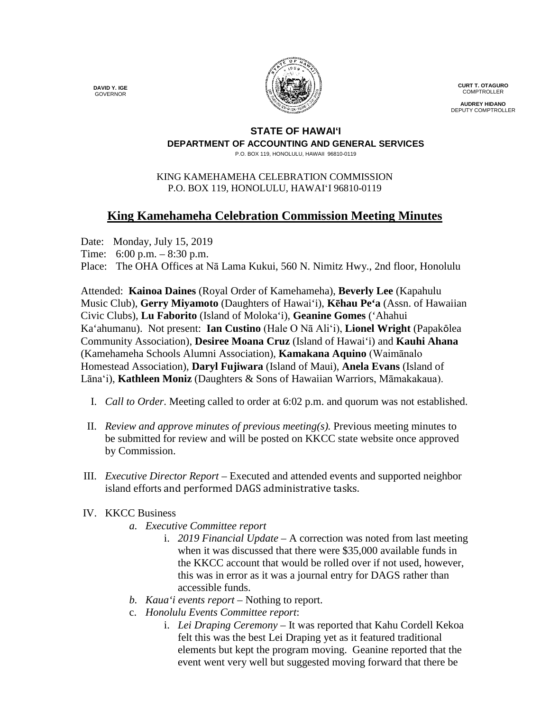**DAVID Y. IGE** GOVERNOR



**CURT T. OTAGURO** COMPTROLLER

**AUDREY HIDANO** DEPUTY COMPTROLLER

## **STATE OF HAWAI'I DEPARTMENT OF ACCOUNTING AND GENERAL SERVICES**

P.O. BOX 119, HONOLULU, HAWAII 96810-0119

## KING KAMEHAMEHA CELEBRATION COMMISSION P.O. BOX 119, HONOLULU, HAWAIʻI 96810-0119

## **King Kamehameha Celebration Commission Meeting Minutes**

Date: Monday, July 15, 2019

Time: 6:00 p.m. – 8:30 p.m.

Place: The OHA Offices at Nā Lama Kukui, 560 N. Nimitz Hwy., 2nd floor, Honolulu

Attended: **Kainoa Daines** (Royal Order of Kamehameha), **Beverly Lee** (Kapahulu Music Club), **Gerry Miyamoto** (Daughters of Hawai'i), **Kēhau Pe'a** (Assn. of Hawaiian Civic Clubs), **Lu Faborito** (Island of Moloka'i), **Geanine Gomes** ('Ahahui Ka'ahumanu). Not present: **Ian Custino** (Hale O Nā Ali'i), **Lionel Wright** (Papakōlea Community Association), **Desiree Moana Cruz** (Island of Hawai'i) and **Kauhi Ahana** (Kamehameha Schools Alumni Association), **Kamakana Aquino** (Waimānalo Homestead Association), **Daryl Fujiwara** (Island of Maui), **Anela Evans** (Island of Lāna'i), **Kathleen Moniz** (Daughters & Sons of Hawaiian Warriors, Māmakakaua).

- I. *Call to Order*. Meeting called to order at 6:02 p.m. and quorum was not established.
- II. *Review and approve minutes of previous meeting(s).* Previous meeting minutes to be submitted for review and will be posted on KKCC state website once approved by Commission.
- III. *Executive Director Report* Executed and attended events and supported neighbor island efforts and performed DAGS administrative tasks.

## IV. KKCC Business

- *a. Executive Committee report*
	- i. *2019 Financial Update* A correction was noted from last meeting when it was discussed that there were \$35,000 available funds in the KKCC account that would be rolled over if not used, however, this was in error as it was a journal entry for DAGS rather than accessible funds.
- *b. Kaua'i events report –* Nothing to report.
- c. *Honolulu Events Committee report*:
	- i. *Lei Draping Ceremony* It was reported that Kahu Cordell Kekoa felt this was the best Lei Draping yet as it featured traditional elements but kept the program moving. Geanine reported that the event went very well but suggested moving forward that there be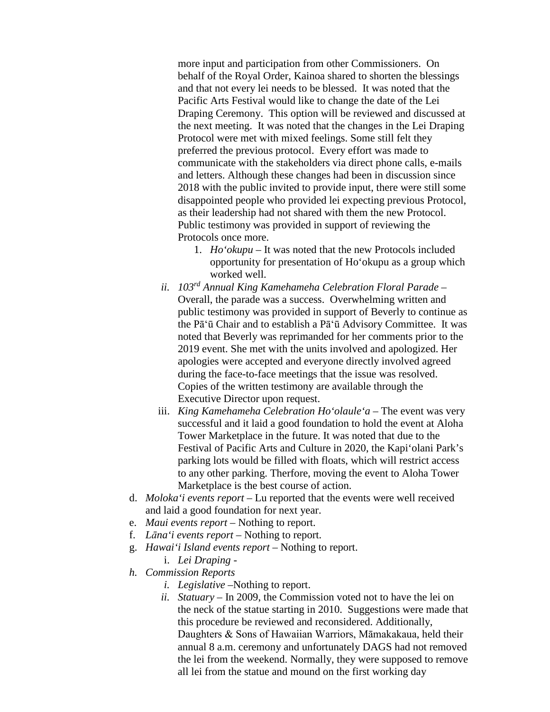more input and participation from other Commissioners. On behalf of the Royal Order, Kainoa shared to shorten the blessings and that not every lei needs to be blessed. It was noted that the Pacific Arts Festival would like to change the date of the Lei Draping Ceremony. This option will be reviewed and discussed at the next meeting. It was noted that the changes in the Lei Draping Protocol were met with mixed feelings. Some still felt they preferred the previous protocol. Every effort was made to communicate with the stakeholders via direct phone calls, e-mails and letters. Although these changes had been in discussion since 2018 with the public invited to provide input, there were still some disappointed people who provided lei expecting previous Protocol, as their leadership had not shared with them the new Protocol. Public testimony was provided in support of reviewing the Protocols once more.

- 1. *Ho'okupu –* It was noted that the new Protocols included opportunity for presentation of Ho'okupu as a group which worked well.
- *ii. 103rd Annual King Kamehameha Celebration Floral Parade –* Overall, the parade was a success. Overwhelming written and public testimony was provided in support of Beverly to continue as the Pā'ū Chair and to establish a Pā'ū Advisory Committee. It was noted that Beverly was reprimanded for her comments prior to the 2019 event. She met with the units involved and apologized. Her apologies were accepted and everyone directly involved agreed during the face-to-face meetings that the issue was resolved. Copies of the written testimony are available through the Executive Director upon request.
- iii. *King Kamehameha Celebration Ho'olaule'a* The event was very successful and it laid a good foundation to hold the event at Aloha Tower Marketplace in the future. It was noted that due to the Festival of Pacific Arts and Culture in 2020, the Kapi'olani Park's parking lots would be filled with floats, which will restrict access to any other parking. Therfore, moving the event to Aloha Tower Marketplace is the best course of action.
- d. *Moloka'i events report* Lu reported that the events were well received and laid a good foundation for next year.
- e. *Maui events report* Nothing to report.
- f. *Lāna'i events report* Nothing to report.
- g. *Hawai'i Island events report* Nothing to report.
	- i. *Lei Draping* -
- *h. Commission Reports*
	- *i. Legislative* –Nothing to report.
	- *ii. Statuary –* In 2009, the Commission voted not to have the lei on the neck of the statue starting in 2010. Suggestions were made that this procedure be reviewed and reconsidered. Additionally, Daughters & Sons of Hawaiian Warriors, Māmakakaua, held their annual 8 a.m. ceremony and unfortunately DAGS had not removed the lei from the weekend. Normally, they were supposed to remove all lei from the statue and mound on the first working day